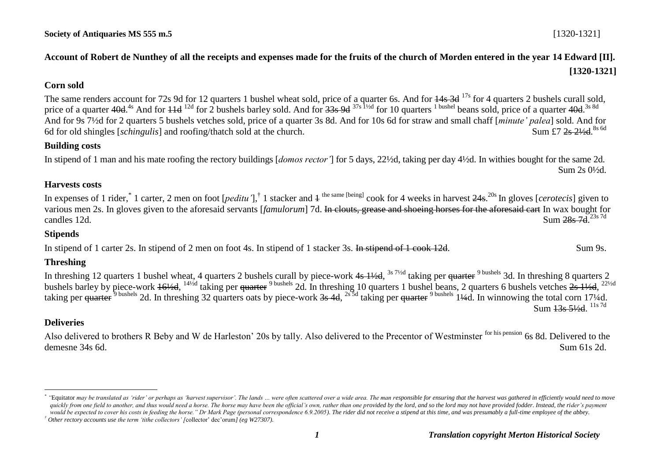# **Account of Robert de Nunthey of all the receipts and expenses made for the fruits of the church of Morden entered in the year 14 Edward [II]. [1320-1321]**

### **Corn sold**

The same renders account for 72s 9d for 12 quarters 1 bushel wheat sold, price of a quarter 6s. And for  $\frac{14s}{3}$  3d  $^{17s}$  for 4 quarters 2 bushels curall sold, price of a quarter 40d.<sup>4s</sup> And for <del>11d</del> <sup>12d</sup> for 2 bushels barley sold. And for 33s 9d <sup>37s 11/2d</sup> for 10 quarters <sup>1 bushel</sup> beans sold, price of a quarter 40d.<sup>3s 8d</sup> And for 9s 7½d for 2 quarters 5 bushels vetches sold, price of a quarter 3s 8d. And for 10s 6d for straw and small chaff [*minute' palea*] sold. And for 6d for old shingles [*schingulis*] and roofing/thatch sold at the church. Sum  $f7$  2s 21/<sub>2</sub>d <sup>8s 6d</sup>

#### **Building costs**

In stipend of 1 man and his mate roofing the rectory buildings [*domos rector'*] for 5 days, 22½d, taking per day 4½d. In withies bought for the same 2d. Sum 2s 0½d.

#### **Harvests costs**

In expenses of 1 rider,<sup>\*</sup> 1 carter, 2 men on foot [*peditu* '],<sup>†</sup> 1 stacker and 4 <sup>the same [being]</sup> cook for 4 weeks in harvest  $24s$ .<sup>20s</sup> In gloves [*cerotecis*] given to various men 2s. In gloves given to the aforesaid servants [*famulorum*] 7d. In clouts, grease and shoeing horses for the aforesaid cart In wax bought for candles 12d. Sum 28s 7d. Sum 28s 7d 23s 7d

#### **Stipends**

In stipend of 1 carter 2s. In stipend of 2 men on foot 4s. In stipend of 1 stacker 3s. In stipend of 1 cook 12d. Sum 9s.

## **Threshing**

In threshing 12 quarters 1 bushel wheat, 4 quarters 2 bushels curall by piece-work 4s 1½d, <sup>3s 7½d</sup> taking per <del>quarter</del> <sup>9 bushels</sup> 3d. In threshing 8 quarters 2 bushels barley by piece-work 16½d, <sup>14½d</sup> taking per <del>quarter</del> <sup>9 bushels</sup> 2d. In threshing 10 quarters 1 bushel beans, 2 quarters 6 bushels vetches  $2s$  1½d, <sup>22½d</sup> taking per quarter<sup>9 bushels</sup> 2d. In threshing 32 quarters oats by piece-work 3s 4d, <sup>2s 5d</sup> taking per quarter<sup>9 bushels</sup> 1¼d. In winnowing the total corn 17¼d. Sum 13s 5½d. <sup>11s 7d</sup>

## **Deliveries**

<u>.</u>

Also delivered to brothers R Beby and W de Harleston' 20s by tally. Also delivered to the Precentor of Westminster <sup>for his pension</sup> 6s 8d. Delivered to the demesne 34s 6d. Sum 61s 2d.

*<sup>\*</sup>* "Equitator may be translated as 'rider' or perhaps as 'harvest supervisor'. The lands ... were often scattered over a wide area. The man responsible for ensuring that the harvest was gathered in efficiently would need to m quickly from one field to another, and thus would need a horse. The horse may have been the official's own, rather than one provided by the lord, and so the lord may not have provided fodder. Instead, the rider's payment *would be expected to cover his costs in feeding the horse." Dr Mark Page (personal correspondence 6.9.2005). The rider did not receive a stipend at this time, and was presumably a full-time employee of the abbey.*

*<sup>†</sup> Other rectory accounts use the term 'tithe collectors' [*collector' dec'orum*] (eg W27307).*